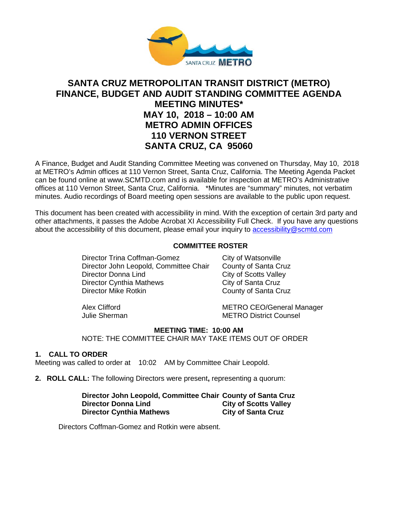

# **SANTA CRUZ METROPOLITAN TRANSIT DISTRICT (METRO) FINANCE, BUDGET AND AUDIT STANDING COMMITTEE AGENDA MEETING MINUTES\* MAY 10, 2018 – 10:00 AM METRO ADMIN OFFICES 110 VERNON STREET SANTA CRUZ, CA 95060**

A Finance, Budget and Audit Standing Committee Meeting was convened on Thursday, May 10, 2018 at METRO's Admin offices at 110 Vernon Street, Santa Cruz, California. The Meeting Agenda Packet can be found online at www.SCMTD.com and is available for inspection at METRO's Administrative offices at 110 Vernon Street, Santa Cruz, California. \*Minutes are "summary" minutes, not verbatim minutes. Audio recordings of Board meeting open sessions are available to the public upon request.

This document has been created with accessibility in mind. With the exception of certain 3rd party and other attachments, it passes the Adobe Acrobat XI Accessibility Full Check. If you have any questions about the accessibility of this document, please email your inquiry to [accessibility@scmtd.com](mailto:accessibility@scmtd.com)

#### **COMMITTEE ROSTER**

Director Trina Coffman-Gomez City of Watsonville Director John Leopold, Committee Chair County of Santa Cruz Director Donna Lind<br>
Director Cynthia Mathews<br>
City of Santa Cruz Director Cynthia Mathews<br>Director Mike Rotkin

County of Santa Cruz

Alex Clifford<br>
Julie Sherman<br>
METRO District Counsel<br>
METRO District Counsel **METRO District Counsel** 

#### **MEETING TIME: 10:00 AM**

NOTE: THE COMMITTEE CHAIR MAY TAKE ITEMS OUT OF ORDER

#### **1. CALL TO ORDER**

Meeting was called to order at 10:02 AM by Committee Chair Leopold.

**2. ROLL CALL:** The following Directors were present**,** representing a quorum:

**Director John Leopold, Committee Chair County of Santa Cruz City of Scotts Valley City of Santa Cruz Director Cynthia Mathews** 

Directors Coffman-Gomez and Rotkin were absent.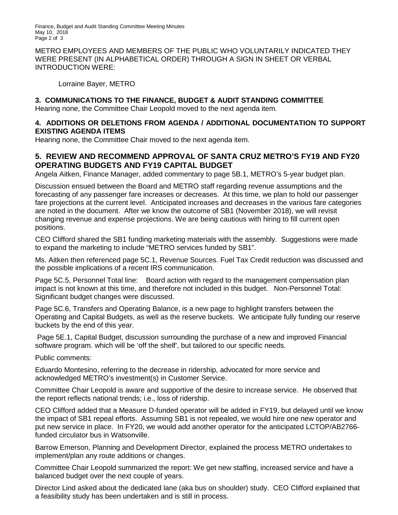Finance, Budget and Audit Standing Committee Meeting Minutes May 10, 2018 Page 2 of 3

METRO EMPLOYEES AND MEMBERS OF THE PUBLIC WHO VOLUNTARILY INDICATED THEY WERE PRESENT (IN ALPHABETICAL ORDER) THROUGH A SIGN IN SHEET OR VERBAL INTRODUCTION WERE:

Lorraine Bayer, METRO

## **3. COMMUNICATIONS TO THE FINANCE, BUDGET & AUDIT STANDING COMMITTEE**

Hearing none, the Committee Chair Leopold moved to the next agenda item.

### **4. ADDITIONS OR DELETIONS FROM AGENDA / ADDITIONAL DOCUMENTATION TO SUPPORT EXISTING AGENDA ITEMS**

Hearing none, the Committee Chair moved to the next agenda item.

## **5. REVIEW AND RECOMMEND APPROVAL OF SANTA CRUZ METRO'S FY19 AND FY20 OPERATING BUDGETS AND FY19 CAPITAL BUDGET**

Angela Aitken, Finance Manager, added commentary to page 5B.1, METRO's 5-year budget plan.

Discussion ensued between the Board and METRO staff regarding revenue assumptions and the forecasting of any passenger fare increases or decreases. At this time, we plan to hold our passenger fare projections at the current level. Anticipated increases and decreases in the various fare categories are noted in the document. After we know the outcome of SB1 (November 2018), we will revisit changing revenue and expense projections. We are being cautious with hiring to fill current open positions.

CEO Clifford shared the SB1 funding marketing materials with the assembly. Suggestions were made to expand the marketing to include "METRO services funded by SB1".

Ms. Aitken then referenced page 5C.1, Revenue Sources. Fuel Tax Credit reduction was discussed and the possible implications of a recent IRS communication.

Page 5C.5, Personnel Total line: Board action with regard to the management compensation plan impact is not known at this time, and therefore not included in this budget. Non-Personnel Total: Significant budget changes were discussed.

Page 5C.6, Transfers and Operating Balance, is a new page to highlight transfers between the Operating and Capital Budgets, as well as the reserve buckets. We anticipate fully funding our reserve buckets by the end of this year.

Page 5E.1, Capital Budget, discussion surrounding the purchase of a new and improved Financial software program. which will be 'off the shelf', but tailored to our specific needs.

Public comments:

Eduardo Montesino, referring to the decrease in ridership, advocated for more service and acknowledged METRO's investment(s) in Customer Service.

Committee Chair Leopold is aware and supportive of the desire to increase service. He observed that the report reflects national trends; i.e., loss of ridership.

CEO Clifford added that a Measure D-funded operator will be added in FY19, but delayed until we know the impact of SB1 repeal efforts. Assuming SB1 is not repealed, we would hire one new operator and put new service in place. In FY20, we would add another operator for the anticipated LCTOP/AB2766 funded circulator bus in Watsonville.

Barrow Emerson, Planning and Development Director, explained the process METRO undertakes to implement/plan any route additions or changes.

Committee Chair Leopold summarized the report: We get new staffing, increased service and have a balanced budget over the next couple of years.

Director Lind asked about the dedicated lane (aka bus on shoulder) study. CEO Clifford explained that a feasibility study has been undertaken and is still in process.